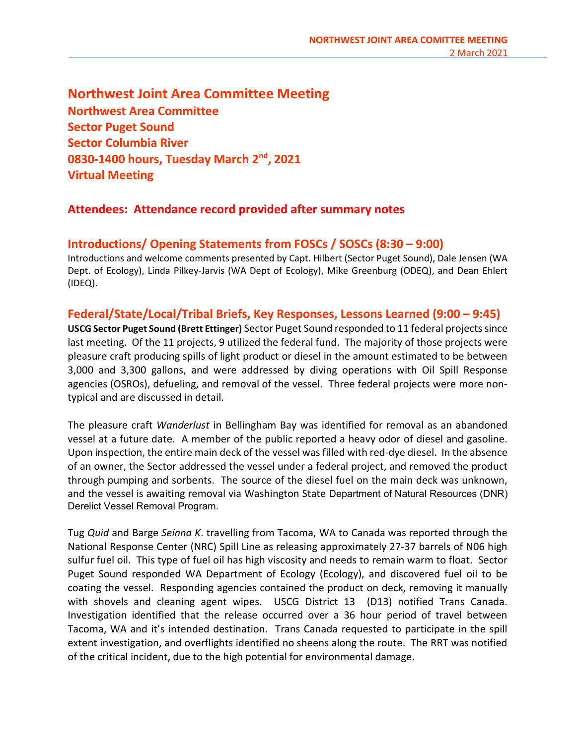Northwest Joint Area Committee Meeting Northwest Area Committee Sector Puget Sound Sector Columbia River 0830-1400 hours, Tuesday March 2<sup>nd</sup>, 2021 Virtual Meeting

### Attendees: Attendance record provided after summary notes

### Introductions/ Opening Statements from FOSCs / SOSCs (8:30 – 9:00)

Introductions and welcome comments presented by Capt. Hilbert (Sector Puget Sound), Dale Jensen (WA Dept. of Ecology), Linda Pilkey-Jarvis (WA Dept of Ecology), Mike Greenburg (ODEQ), and Dean Ehlert (IDEQ).

### Federal/State/Local/Tribal Briefs, Key Responses, Lessons Learned (9:00 – 9:45)

USCG Sector Puget Sound (Brett Ettinger) Sector Puget Sound responded to 11 federal projects since last meeting. Of the 11 projects, 9 utilized the federal fund. The majority of those projects were pleasure craft producing spills of light product or diesel in the amount estimated to be between 3,000 and 3,300 gallons, and were addressed by diving operations with Oil Spill Response agencies (OSROs), defueling, and removal of the vessel. Three federal projects were more nontypical and are discussed in detail.

The pleasure craft Wanderlust in Bellingham Bay was identified for removal as an abandoned vessel at a future date. A member of the public reported a heavy odor of diesel and gasoline. Upon inspection, the entire main deck of the vessel was filled with red-dye diesel. In the absence of an owner, the Sector addressed the vessel under a federal project, and removed the product through pumping and sorbents. The source of the diesel fuel on the main deck was unknown, and the vessel is awaiting removal via Washington State Department of Natural Resources (DNR) Derelict Vessel Removal Program.

Tug Quid and Barge Seinna K. travelling from Tacoma, WA to Canada was reported through the National Response Center (NRC) Spill Line as releasing approximately 27-37 barrels of N06 high sulfur fuel oil. This type of fuel oil has high viscosity and needs to remain warm to float. Sector Puget Sound responded WA Department of Ecology (Ecology), and discovered fuel oil to be coating the vessel. Responding agencies contained the product on deck, removing it manually with shovels and cleaning agent wipes. USCG District 13 (D13) notified Trans Canada. Investigation identified that the release occurred over a 36 hour period of travel between Tacoma, WA and it's intended destination. Trans Canada requested to participate in the spill extent investigation, and overflights identified no sheens along the route. The RRT was notified of the critical incident, due to the high potential for environmental damage.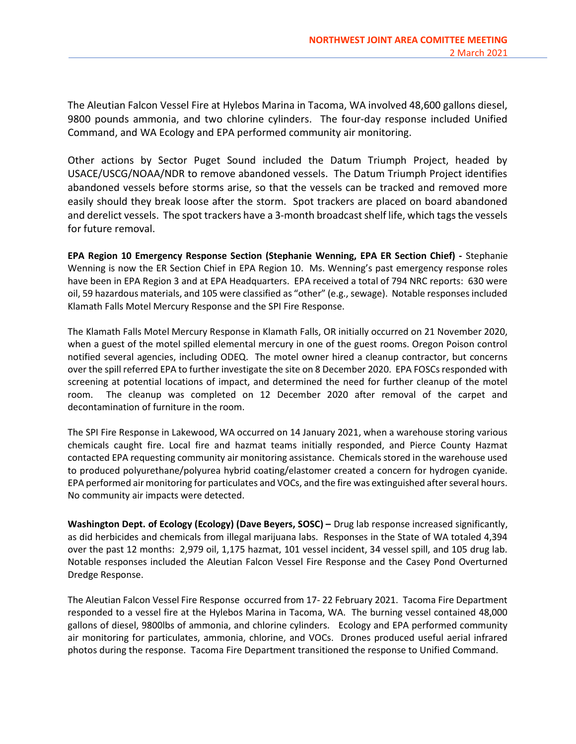The Aleutian Falcon Vessel Fire at Hylebos Marina in Tacoma, WA involved 48,600 gallons diesel, 9800 pounds ammonia, and two chlorine cylinders. The four-day response included Unified Command, and WA Ecology and EPA performed community air monitoring.

Other actions by Sector Puget Sound included the Datum Triumph Project, headed by USACE/USCG/NOAA/NDR to remove abandoned vessels. The Datum Triumph Project identifies abandoned vessels before storms arise, so that the vessels can be tracked and removed more easily should they break loose after the storm. Spot trackers are placed on board abandoned and derelict vessels. The spot trackers have a 3-month broadcast shelf life, which tags the vessels for future removal.

EPA Region 10 Emergency Response Section (Stephanie Wenning, EPA ER Section Chief) - Stephanie Wenning is now the ER Section Chief in EPA Region 10. Ms. Wenning's past emergency response roles have been in EPA Region 3 and at EPA Headquarters. EPA received a total of 794 NRC reports: 630 were oil, 59 hazardous materials, and 105 were classified as "other" (e.g., sewage). Notable responses included Klamath Falls Motel Mercury Response and the SPI Fire Response.

The Klamath Falls Motel Mercury Response in Klamath Falls, OR initially occurred on 21 November 2020, when a guest of the motel spilled elemental mercury in one of the guest rooms. Oregon Poison control notified several agencies, including ODEQ. The motel owner hired a cleanup contractor, but concerns over the spill referred EPA to further investigate the site on 8 December 2020. EPA FOSCs responded with screening at potential locations of impact, and determined the need for further cleanup of the motel room. The cleanup was completed on 12 December 2020 after removal of the carpet and decontamination of furniture in the room.

The SPI Fire Response in Lakewood, WA occurred on 14 January 2021, when a warehouse storing various chemicals caught fire. Local fire and hazmat teams initially responded, and Pierce County Hazmat contacted EPA requesting community air monitoring assistance. Chemicals stored in the warehouse used to produced polyurethane/polyurea hybrid coating/elastomer created a concern for hydrogen cyanide. EPA performed air monitoring for particulates and VOCs, and the fire was extinguished after several hours. No community air impacts were detected.

Washington Dept. of Ecology (Ecology) (Dave Beyers, SOSC) – Drug lab response increased significantly, as did herbicides and chemicals from illegal marijuana labs. Responses in the State of WA totaled 4,394 over the past 12 months: 2,979 oil, 1,175 hazmat, 101 vessel incident, 34 vessel spill, and 105 drug lab. Notable responses included the Aleutian Falcon Vessel Fire Response and the Casey Pond Overturned Dredge Response.

The Aleutian Falcon Vessel Fire Response occurred from 17- 22 February 2021. Tacoma Fire Department responded to a vessel fire at the Hylebos Marina in Tacoma, WA. The burning vessel contained 48,000 gallons of diesel, 9800lbs of ammonia, and chlorine cylinders. Ecology and EPA performed community air monitoring for particulates, ammonia, chlorine, and VOCs. Drones produced useful aerial infrared photos during the response. Tacoma Fire Department transitioned the response to Unified Command.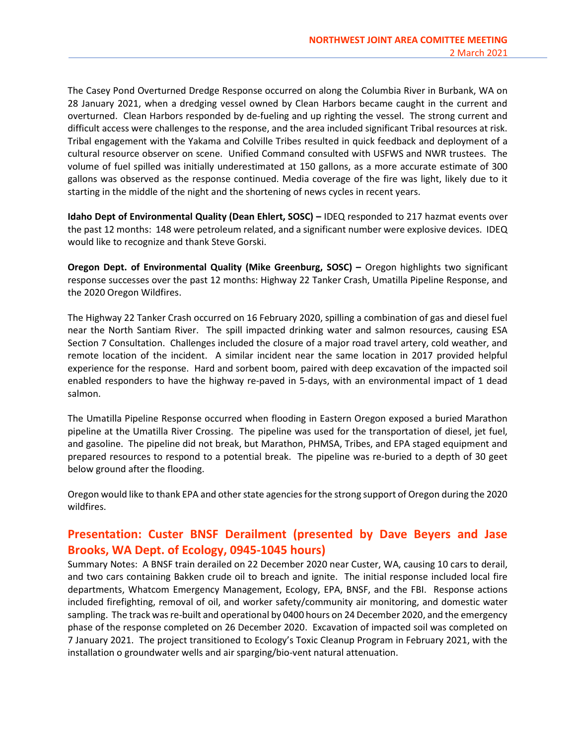The Casey Pond Overturned Dredge Response occurred on along the Columbia River in Burbank, WA on 28 January 2021, when a dredging vessel owned by Clean Harbors became caught in the current and overturned. Clean Harbors responded by de-fueling and up righting the vessel. The strong current and difficult access were challenges to the response, and the area included significant Tribal resources at risk. Tribal engagement with the Yakama and Colville Tribes resulted in quick feedback and deployment of a cultural resource observer on scene. Unified Command consulted with USFWS and NWR trustees. The volume of fuel spilled was initially underestimated at 150 gallons, as a more accurate estimate of 300 gallons was observed as the response continued. Media coverage of the fire was light, likely due to it starting in the middle of the night and the shortening of news cycles in recent years.

Idaho Dept of Environmental Quality (Dean Ehlert, SOSC) – IDEQ responded to 217 hazmat events over the past 12 months: 148 were petroleum related, and a significant number were explosive devices. IDEQ would like to recognize and thank Steve Gorski.

Oregon Dept. of Environmental Quality (Mike Greenburg, SOSC) – Oregon highlights two significant response successes over the past 12 months: Highway 22 Tanker Crash, Umatilla Pipeline Response, and the 2020 Oregon Wildfires.

The Highway 22 Tanker Crash occurred on 16 February 2020, spilling a combination of gas and diesel fuel near the North Santiam River. The spill impacted drinking water and salmon resources, causing ESA Section 7 Consultation. Challenges included the closure of a major road travel artery, cold weather, and remote location of the incident. A similar incident near the same location in 2017 provided helpful experience for the response. Hard and sorbent boom, paired with deep excavation of the impacted soil enabled responders to have the highway re-paved in 5-days, with an environmental impact of 1 dead salmon.

The Umatilla Pipeline Response occurred when flooding in Eastern Oregon exposed a buried Marathon pipeline at the Umatilla River Crossing. The pipeline was used for the transportation of diesel, jet fuel, and gasoline. The pipeline did not break, but Marathon, PHMSA, Tribes, and EPA staged equipment and prepared resources to respond to a potential break. The pipeline was re-buried to a depth of 30 geet below ground after the flooding.

Oregon would like to thank EPA and other state agencies for the strong support of Oregon during the 2020 wildfires.

# Presentation: Custer BNSF Derailment (presented by Dave Beyers and Jase Brooks, WA Dept. of Ecology, 0945-1045 hours)

Summary Notes: A BNSF train derailed on 22 December 2020 near Custer, WA, causing 10 cars to derail, and two cars containing Bakken crude oil to breach and ignite. The initial response included local fire departments, Whatcom Emergency Management, Ecology, EPA, BNSF, and the FBI. Response actions included firefighting, removal of oil, and worker safety/community air monitoring, and domestic water sampling. The track was re-built and operational by 0400 hours on 24 December 2020, and the emergency phase of the response completed on 26 December 2020. Excavation of impacted soil was completed on 7 January 2021. The project transitioned to Ecology's Toxic Cleanup Program in February 2021, with the installation o groundwater wells and air sparging/bio-vent natural attenuation.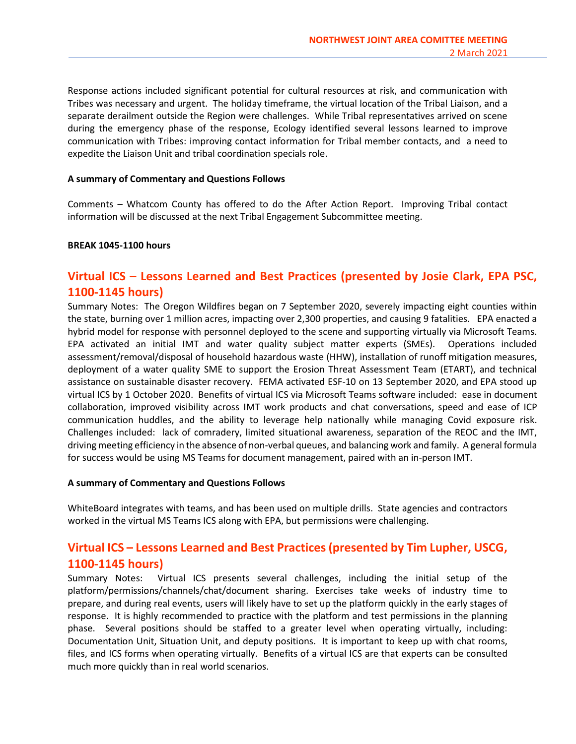Response actions included significant potential for cultural resources at risk, and communication with Tribes was necessary and urgent. The holiday timeframe, the virtual location of the Tribal Liaison, and a separate derailment outside the Region were challenges. While Tribal representatives arrived on scene during the emergency phase of the response, Ecology identified several lessons learned to improve communication with Tribes: improving contact information for Tribal member contacts, and a need to expedite the Liaison Unit and tribal coordination specials role.

#### A summary of Commentary and Questions Follows

Comments – Whatcom County has offered to do the After Action Report. Improving Tribal contact information will be discussed at the next Tribal Engagement Subcommittee meeting.

### BREAK 1045-1100 hours

# Virtual ICS – Lessons Learned and Best Practices (presented by Josie Clark, EPA PSC, 1100-1145 hours)

Summary Notes: The Oregon Wildfires began on 7 September 2020, severely impacting eight counties within the state, burning over 1 million acres, impacting over 2,300 properties, and causing 9 fatalities. EPA enacted a hybrid model for response with personnel deployed to the scene and supporting virtually via Microsoft Teams. EPA activated an initial IMT and water quality subject matter experts (SMEs). Operations included assessment/removal/disposal of household hazardous waste (HHW), installation of runoff mitigation measures, deployment of a water quality SME to support the Erosion Threat Assessment Team (ETART), and technical assistance on sustainable disaster recovery. FEMA activated ESF-10 on 13 September 2020, and EPA stood up virtual ICS by 1 October 2020. Benefits of virtual ICS via Microsoft Teams software included: ease in document collaboration, improved visibility across IMT work products and chat conversations, speed and ease of ICP communication huddles, and the ability to leverage help nationally while managing Covid exposure risk. Challenges included: lack of comradery, limited situational awareness, separation of the REOC and the IMT, driving meeting efficiency in the absence of non-verbal queues, and balancing work and family. A general formula for success would be using MS Teams for document management, paired with an in-person IMT.

#### A summary of Commentary and Questions Follows

WhiteBoard integrates with teams, and has been used on multiple drills. State agencies and contractors worked in the virtual MS Teams ICS along with EPA, but permissions were challenging.

## Virtual ICS – Lessons Learned and Best Practices (presented by Tim Lupher, USCG, 1100-1145 hours)

Summary Notes: Virtual ICS presents several challenges, including the initial setup of the platform/permissions/channels/chat/document sharing. Exercises take weeks of industry time to prepare, and during real events, users will likely have to set up the platform quickly in the early stages of response. It is highly recommended to practice with the platform and test permissions in the planning phase. Several positions should be staffed to a greater level when operating virtually, including: Documentation Unit, Situation Unit, and deputy positions. It is important to keep up with chat rooms, files, and ICS forms when operating virtually. Benefits of a virtual ICS are that experts can be consulted much more quickly than in real world scenarios.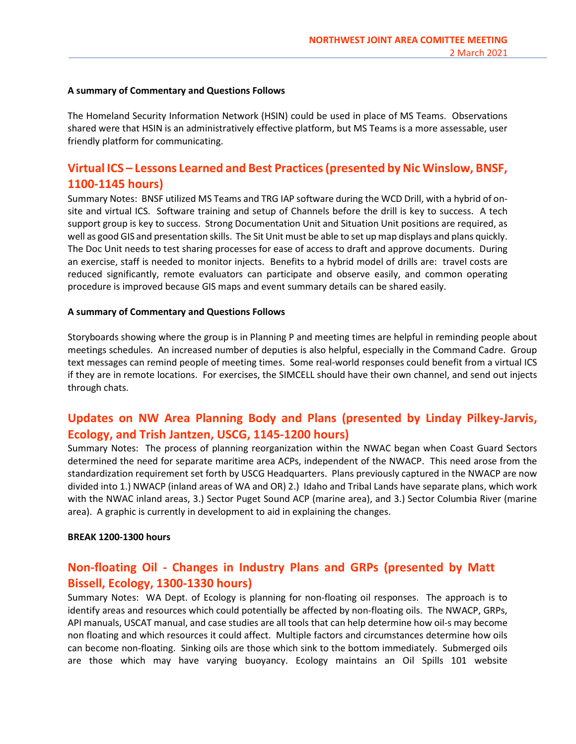### A summary of Commentary and Questions Follows

The Homeland Security Information Network (HSIN) could be used in place of MS Teams. Observations shared were that HSIN is an administratively effective platform, but MS Teams is a more assessable, user friendly platform for communicating.

# Virtual ICS – Lessons Learned and Best Practices (presented by Nic Winslow, BNSF, 1100-1145 hours)

Summary Notes: BNSF utilized MS Teams and TRG IAP software during the WCD Drill, with a hybrid of onsite and virtual ICS. Software training and setup of Channels before the drill is key to success. A tech support group is key to success. Strong Documentation Unit and Situation Unit positions are required, as well as good GIS and presentation skills. The Sit Unit must be able to set up map displays and plans quickly. The Doc Unit needs to test sharing processes for ease of access to draft and approve documents. During an exercise, staff is needed to monitor injects. Benefits to a hybrid model of drills are: travel costs are reduced significantly, remote evaluators can participate and observe easily, and common operating procedure is improved because GIS maps and event summary details can be shared easily.

### A summary of Commentary and Questions Follows

Storyboards showing where the group is in Planning P and meeting times are helpful in reminding people about meetings schedules. An increased number of deputies is also helpful, especially in the Command Cadre. Group text messages can remind people of meeting times. Some real-world responses could benefit from a virtual ICS if they are in remote locations. For exercises, the SIMCELL should have their own channel, and send out injects through chats.

## Updates on NW Area Planning Body and Plans (presented by Linday Pilkey-Jarvis, Ecology, and Trish Jantzen, USCG, 1145-1200 hours)

Summary Notes: The process of planning reorganization within the NWAC began when Coast Guard Sectors determined the need for separate maritime area ACPs, independent of the NWACP. This need arose from the standardization requirement set forth by USCG Headquarters. Plans previously captured in the NWACP are now divided into 1.) NWACP (inland areas of WA and OR) 2.) Idaho and Tribal Lands have separate plans, which work with the NWAC inland areas, 3.) Sector Puget Sound ACP (marine area), and 3.) Sector Columbia River (marine area). A graphic is currently in development to aid in explaining the changes.

#### BREAK 1200-1300 hours

## Non-floating Oil - Changes in Industry Plans and GRPs (presented by Matt Bissell, Ecology, 1300-1330 hours)

Summary Notes: WA Dept. of Ecology is planning for non-floating oil responses. The approach is to identify areas and resources which could potentially be affected by non-floating oils. The NWACP, GRPs, API manuals, USCAT manual, and case studies are all tools that can help determine how oil-s may become non floating and which resources it could affect. Multiple factors and circumstances determine how oils can become non-floating. Sinking oils are those which sink to the bottom immediately. Submerged oils are those which may have varying buoyancy. Ecology maintains an Oil Spills 101 website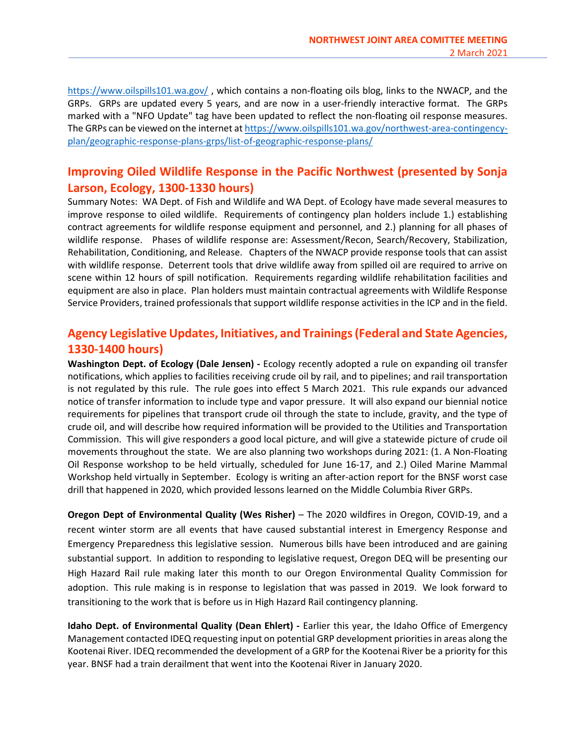https://www.oilspills101.wa.gov/ , which contains a non-floating oils blog, links to the NWACP, and the GRPs. GRPs are updated every 5 years, and are now in a user-friendly interactive format. The GRPs marked with a "NFO Update" tag have been updated to reflect the non-floating oil response measures. The GRPs can be viewed on the internet at https://www.oilspills101.wa.gov/northwest-area-contingencyplan/geographic-response-plans-grps/list-of-geographic-response-plans/

## Improving Oiled Wildlife Response in the Pacific Northwest (presented by Sonja Larson, Ecology, 1300-1330 hours)

Summary Notes: WA Dept. of Fish and Wildlife and WA Dept. of Ecology have made several measures to improve response to oiled wildlife. Requirements of contingency plan holders include 1.) establishing contract agreements for wildlife response equipment and personnel, and 2.) planning for all phases of wildlife response. Phases of wildlife response are: Assessment/Recon, Search/Recovery, Stabilization, Rehabilitation, Conditioning, and Release. Chapters of the NWACP provide response tools that can assist with wildlife response. Deterrent tools that drive wildlife away from spilled oil are required to arrive on scene within 12 hours of spill notification. Requirements regarding wildlife rehabilitation facilities and equipment are also in place. Plan holders must maintain contractual agreements with Wildlife Response Service Providers, trained professionals that support wildlife response activities in the ICP and in the field.

# Agency Legislative Updates, Initiatives, and Trainings (Federal and State Agencies, 1330-1400 hours)

Washington Dept. of Ecology (Dale Jensen) - Ecology recently adopted a rule on expanding oil transfer notifications, which applies to facilities receiving crude oil by rail, and to pipelines; and rail transportation is not regulated by this rule. The rule goes into effect 5 March 2021. This rule expands our advanced notice of transfer information to include type and vapor pressure. It will also expand our biennial notice requirements for pipelines that transport crude oil through the state to include, gravity, and the type of crude oil, and will describe how required information will be provided to the Utilities and Transportation Commission. This will give responders a good local picture, and will give a statewide picture of crude oil movements throughout the state. We are also planning two workshops during 2021: (1. A Non-Floating Oil Response workshop to be held virtually, scheduled for June 16-17, and 2.) Oiled Marine Mammal Workshop held virtually in September. Ecology is writing an after-action report for the BNSF worst case drill that happened in 2020, which provided lessons learned on the Middle Columbia River GRPs.

Oregon Dept of Environmental Quality (Wes Risher) – The 2020 wildfires in Oregon, COVID-19, and a recent winter storm are all events that have caused substantial interest in Emergency Response and Emergency Preparedness this legislative session. Numerous bills have been introduced and are gaining substantial support. In addition to responding to legislative request, Oregon DEQ will be presenting our High Hazard Rail rule making later this month to our Oregon Environmental Quality Commission for adoption. This rule making is in response to legislation that was passed in 2019. We look forward to transitioning to the work that is before us in High Hazard Rail contingency planning.

Idaho Dept. of Environmental Quality (Dean Ehlert) - Earlier this year, the Idaho Office of Emergency Management contacted IDEQ requesting input on potential GRP development priorities in areas along the Kootenai River. IDEQ recommended the development of a GRP for the Kootenai River be a priority for this year. BNSF had a train derailment that went into the Kootenai River in January 2020.